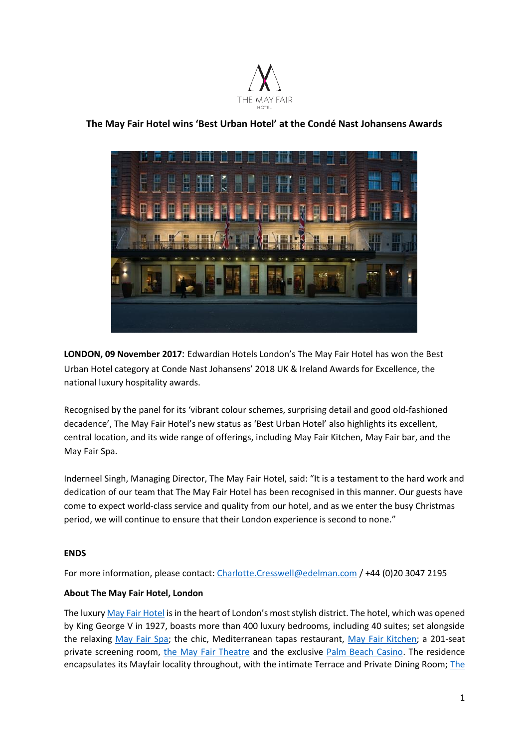

# **The May Fair Hotel wins 'Best Urban Hotel' at the Condé Nast Johansens Awards**

**LONDON, 09 November 2017**: Edwardian Hotels London's The May Fair Hotel has won the Best Urban Hotel category at Conde Nast Johansens' 2018 UK & Ireland Awards for Excellence, the national luxury hospitality awards.

Recognised by the panel for its 'vibrant colour schemes, surprising detail and good old-fashioned decadence', The May Fair Hotel's new status as 'Best Urban Hotel' also highlights its excellent, central location, and its wide range of offerings, including May Fair Kitchen, May Fair bar, and the May Fair Spa.

Inderneel Singh, Managing Director, The May Fair Hotel, said: "It is a testament to the hard work and dedication of our team that The May Fair Hotel has been recognised in this manner. Our guests have come to expect world-class service and quality from our hotel, and as we enter the busy Christmas period, we will continue to ensure that their London experience is second to none."

## **ENDS**

For more information, please contact: [Charlotte.Cresswell@edelman.com](mailto:Charlotte.Cresswell@edelman.com) / +44 (0)20 3047 2195

## **About The May Fair Hotel, London**

The luxury [May Fair Hotel](http://www.themayfairhotel.co.uk/) is in the heart of London's most stylish district. The hotel, which was opened by King George V in 1927, boasts more than 400 luxury bedrooms, including 40 suites; set alongside the relaxing [May Fair Spa;](http://www.themayfairhotel.co.uk/spa) the chic, Mediterranean tapas restaurant, [May Fair Kitchen;](http://www.mayfairkitchen.co.uk/) a 201-seat private screening room, [the May Fair Theatre](http://www.themayfairhotel.co.uk/video/the-theatre) and the exclusive [Palm Beach Casino.](http://www.thepalmbeach.co.uk/) The residence encapsulates its Mayfair locality throughout, with the intimate Terrace and Private Dining Room[; The](http://www.themayfairhotel.co.uk/bar)